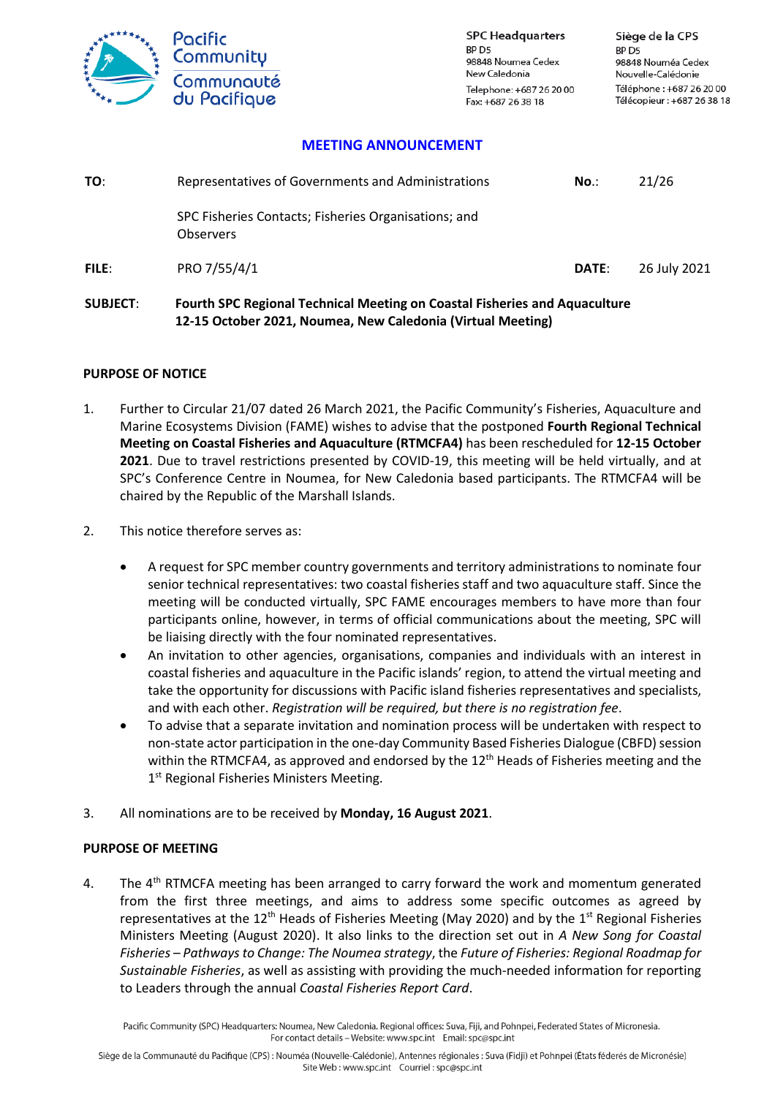

**SPC Headquarters** RP<sub>D5</sub> 98848 Noumea Cedex New Caledonia Telephone: +687 26 20 00 Fax: +687 26 38 18

### **MEETING ANNOUNCEMENT**

| TO:   | Representatives of Governments and Administrations                       | No.          | 21/26        |
|-------|--------------------------------------------------------------------------|--------------|--------------|
|       | SPC Fisheries Contacts; Fisheries Organisations; and<br><b>Observers</b> |              |              |
| FILE: | PRO 7/55/4/1                                                             | <b>DATE:</b> | 26 July 2021 |

# **SUBJECT**: **Fourth SPC Regional Technical Meeting on Coastal Fisheries and Aquaculture 12-15 October 2021, Noumea, New Caledonia (Virtual Meeting)**

#### **PURPOSE OF NOTICE**

- 1. Further to Circular 21/07 dated 26 March 2021, the Pacific Community's Fisheries, Aquaculture and Marine Ecosystems Division (FAME) wishes to advise that the postponed **Fourth Regional Technical Meeting on Coastal Fisheries and Aquaculture (RTMCFA4)** has been rescheduled for **12-15 October 2021**. Due to travel restrictions presented by COVID-19, this meeting will be held virtually, and at SPC's Conference Centre in Noumea, for New Caledonia based participants. The RTMCFA4 will be chaired by the Republic of the Marshall Islands.
- 2. This notice therefore serves as:
	- A request for SPC member country governments and territory administrations to nominate four senior technical representatives: two coastal fisheries staff and two aquaculture staff. Since the meeting will be conducted virtually, SPC FAME encourages members to have more than four participants online, however, in terms of official communications about the meeting, SPC will be liaising directly with the four nominated representatives.
	- An invitation to other agencies, organisations, companies and individuals with an interest in coastal fisheries and aquaculture in the Pacific islands' region, to attend the virtual meeting and take the opportunity for discussions with Pacific island fisheries representatives and specialists, and with each other. *Registration will be required, but there is no registration fee*.
	- To advise that a separate invitation and nomination process will be undertaken with respect to non-state actor participation in the one-day Community Based Fisheries Dialogue (CBFD) session within the RTMCFA4, as approved and endorsed by the 12<sup>th</sup> Heads of Fisheries meeting and the 1<sup>st</sup> Regional Fisheries Ministers Meeting.
- 3. All nominations are to be received by **Monday, 16 August 2021**.

#### **PURPOSE OF MEETING**

4. The 4<sup>th</sup> RTMCFA meeting has been arranged to carry forward the work and momentum generated from the first three meetings, and aims to address some specific outcomes as agreed by representatives at the  $12<sup>th</sup>$  Heads of Fisheries Meeting (May 2020) and by the  $1<sup>st</sup>$  Regional Fisheries Ministers Meeting (August 2020). It also links to the direction set out in *A New Song for Coastal Fisheries – Pathways to Change: The Noumea strategy*, the *Future of Fisheries: Regional Roadmap for Sustainable Fisheries*, as well as assisting with providing the much-needed information for reporting to Leaders through the annual *Coastal Fisheries Report Card*.

Pacific Community (SPC) Headquarters: Noumea, New Caledonia. Regional offices: Suva, Fiji, and Pohnpei, Federated States of Micronesia. For contact details - Website: www.spc.int Email: spc@spc.int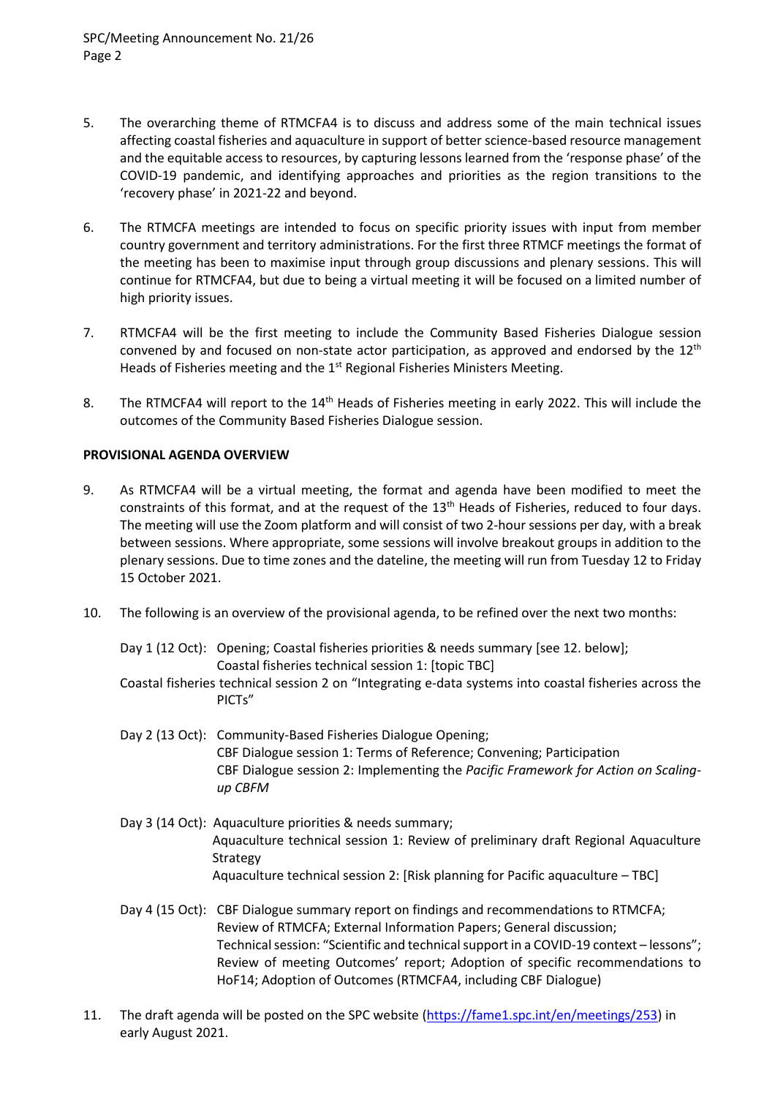- 5. The overarching theme of RTMCFA4 is to discuss and address some of the main technical issues affecting coastal fisheries and aquaculture in support of better science-based resource management and the equitable access to resources, by capturing lessons learned from the 'response phase' of the COVID-19 pandemic, and identifying approaches and priorities as the region transitions to the 'recovery phase' in 2021-22 and beyond.
- 6. The RTMCFA meetings are intended to focus on specific priority issues with input from member country government and territory administrations. For the first three RTMCF meetings the format of the meeting has been to maximise input through group discussions and plenary sessions. This will continue for RTMCFA4, but due to being a virtual meeting it will be focused on a limited number of high priority issues.
- 7. RTMCFA4 will be the first meeting to include the Community Based Fisheries Dialogue session convened by and focused on non-state actor participation, as approved and endorsed by the  $12<sup>th</sup>$ Heads of Fisheries meeting and the 1<sup>st</sup> Regional Fisheries Ministers Meeting.
- 8. The RTMCFA4 will report to the 14<sup>th</sup> Heads of Fisheries meeting in early 2022. This will include the outcomes of the Community Based Fisheries Dialogue session.

# **PROVISIONAL AGENDA OVERVIEW**

- 9. As RTMCFA4 will be a virtual meeting, the format and agenda have been modified to meet the constraints of this format, and at the request of the 13<sup>th</sup> Heads of Fisheries, reduced to four days. The meeting will use the Zoom platform and will consist of two 2-hour sessions per day, with a break between sessions. Where appropriate, some sessions will involve breakout groups in addition to the plenary sessions. Due to time zones and the dateline, the meeting will run from Tuesday 12 to Friday 15 October 2021.
- 10. The following is an overview of the provisional agenda, to be refined over the next two months:

Day 1 (12 Oct): Opening; Coastal fisheries priorities & needs summary [see 12. below]; Coastal fisheries technical session 1: [topic TBC]

- Coastal fisheries technical session 2 on "Integrating e-data systems into coastal fisheries across the PICTs"
- Day 2 (13 Oct): Community-Based Fisheries Dialogue Opening; CBF Dialogue session 1: Terms of Reference; Convening; Participation CBF Dialogue session 2: Implementing the *Pacific Framework for Action on Scalingup CBFM*
- Day 3 (14 Oct): Aquaculture priorities & needs summary; Aquaculture technical session 1: Review of preliminary draft Regional Aquaculture Strategy Aquaculture technical session 2: [Risk planning for Pacific aquaculture – TBC]
- Day 4 (15 Oct): CBF Dialogue summary report on findings and recommendations to RTMCFA; Review of RTMCFA; External Information Papers; General discussion; Technical session: "Scientific and technical support in a COVID-19 context – lessons"; Review of meeting Outcomes' report; Adoption of specific recommendations to HoF14; Adoption of Outcomes (RTMCFA4, including CBF Dialogue)
- 11. The draft agenda will be posted on the SPC website [\(https://fame1.spc.int/en/meetings/253\)](https://fame1.spc.int/en/meetings/253) in early August 2021.